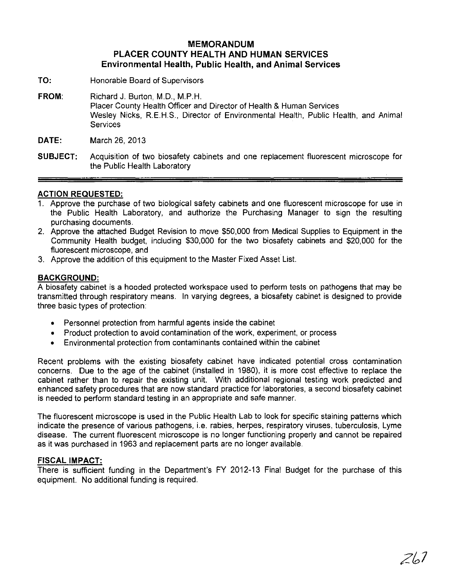# **MEMORANDUM PLACER COUNTY HEALTH AND HUMAN SERVICES Environmental Health, Public Health, and Animal Services**

- **TO:** Honorable Board of Supervisors
- **FROM:** Richard J. Burton, M.D., M.P.H. Placer County Health Officer and Director of Health & Human Services Wesley Nicks, R.E.H.S., Director of Environmental Health, Public Health, and Animal **Services**

**DATE:** March 26,2013

**SUBJECT:** Acquisition of two biosafety cabinets and one replacement fluorescent microscope for the Public Health Laboratory

## **ACTION REQUESTED:**

- 1. Approve the purchase of two biological safety cabinets and one fluorescent microscope for use in the Public Health Laboratory, and authorize the Purchasing Manager to sign the resulting purchasing documents.
- 2. Approve the attached Budget Revision to move \$50,000 from Medical Supplies to Equipment in the Community Health budget, including \$30,000 for the two biosafety cabinets and \$20,000 for the fluorescent microscope, and
- 3. Approve the addition of this equipment to the Master Fixed Asset List.

### **BACKGROUND:**

A biosafety cabinet is a hooded protected workspace used to perform tests on pathogens that may be transmitted through respiratory means. In varying degrees, a biosafety cabinet is designed to provide three basic types of protection:

- Personnel protection from harmful agents inside the cabinet
- Product protection to avoid contamination of the work, experiment, or process
- Environmental protection from contaminants contained within the cabinet

Recent problems with the existing biosafety cabinet have indicated potential cross contamination concerns. Due to the age of the cabinet (installed in 1980), it is more cost effective to replace the cabinet rather than to repair the existing unit. With additional regional testing work predicted and enhanced safety procedures that are now standard practice for laboratories, a second biosafety cabinet is needed to perform standard testing in an appropriate and safe manner.

The fluorescent microscope is used in the Public Health Lab to look for specific staining patterns which indicate the presence of various pathogens, i.e. rabies, herpes, respiratory viruses, tuberculosis, Lyme disease. The current fluorescent microscope is no longer functioning properly and cannot be repaired as it was purchased in 1963 and replacement parts are no longer available.

#### **FISCAL IMPACT:**

There is sufficient funding in the Department's FY 2012-13 Final Budget for the purchase of this equipment. No additional funding is required.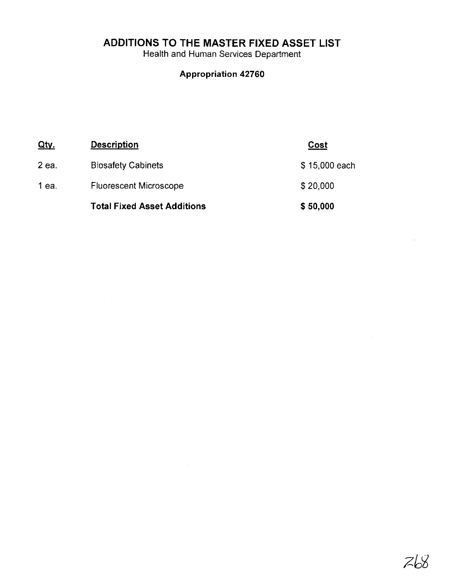**ADDITIONS TO THE MASTER FIXED ASSET LIST**

 $\sim$   $\sim$ 

Health and Human Services Department

# **Appropriation 42760**

| <u>Qty</u> | <b>Description</b>                 | Cost          |
|------------|------------------------------------|---------------|
| $2$ ea.    | <b>Biosafety Cabinets</b>          | \$15,000 each |
| 1 ea.      | <b>Fluorescent Microscope</b>      | \$20,000      |
|            | <b>Total Fixed Asset Additions</b> | \$50,000      |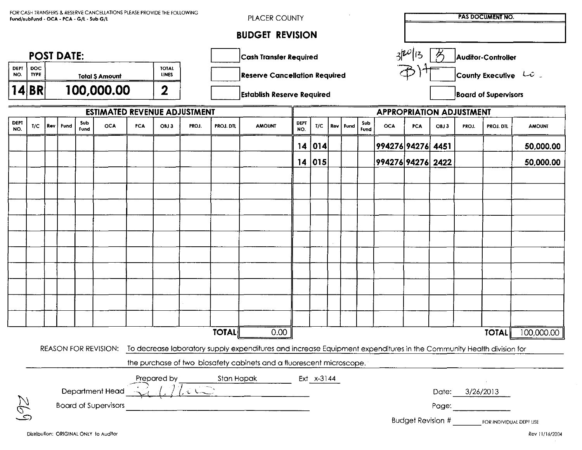| FOR CASH TRANSFERS & RESERVE CANCELLATIONS PLEASE PROVIDE THE FOLLOWING<br>Fund/subFund - OCA - PCA - G/L - Sub G/L                                |                                                                      |  |                                                        |             |                             |     |      |                                      | <b>PLACER COUNTY</b>          |               |                    | <b>PAS DOCUMENT NO.</b> |  |            |                                 |                    |                                                               |                                        |       |           |               |  |
|----------------------------------------------------------------------------------------------------------------------------------------------------|----------------------------------------------------------------------|--|--------------------------------------------------------|-------------|-----------------------------|-----|------|--------------------------------------|-------------------------------|---------------|--------------------|-------------------------|--|------------|---------------------------------|--------------------|---------------------------------------------------------------|----------------------------------------|-------|-----------|---------------|--|
| <b>BUDGET REVISION</b>                                                                                                                             |                                                                      |  |                                                        |             |                             |     |      |                                      |                               |               |                    |                         |  |            |                                 |                    |                                                               |                                        |       |           |               |  |
| <b>POST DATE:</b>                                                                                                                                  |                                                                      |  |                                                        |             |                             |     |      |                                      | <b>Cash Transfer Required</b> |               |                    |                         |  |            |                                 |                    |                                                               | $3^{20}$ 13<br>ろ<br>Auditor-Controller |       |           |               |  |
| <b>DEPT</b><br>NO.                                                                                                                                 | <b>DOC</b><br><b>TYPE</b>                                            |  | <b>TOTAL</b><br><b>LINES</b><br><b>Total \$ Amount</b> |             |                             |     |      | <b>Reserve Cancellation Required</b> |                               |               |                    |                         |  |            |                                 |                    | County Executive $\left\Vert \mathcal{L}\psi\right\Vert _{2}$ |                                        |       |           |               |  |
|                                                                                                                                                    | 14 BR                                                                |  | 100,000.00<br>$\mathbf 2$                              |             |                             |     |      | <b>Establish Reserve Required</b>    |                               |               |                    |                         |  |            |                                 |                    | <b>Board of Supervisors</b>                                   |                                        |       |           |               |  |
| <b>ESTIMATED REVENUE ADJUSTMENT</b>                                                                                                                |                                                                      |  |                                                        |             |                             |     |      |                                      |                               |               |                    |                         |  |            | <b>APPROPRIATION ADJUSTMENT</b> |                    |                                                               |                                        |       |           |               |  |
| <b>DEPT</b><br>NO.                                                                                                                                 | 1/C                                                                  |  | Rev   Fund                                             | Sub<br>fund | <b>OCA</b>                  | PCA | OBJ3 | PROJ.                                | PROJ. DTL                     | <b>AMOUNT</b> | <b>DEPT</b><br>NO. | T/C                     |  | Rev   Fund | Sub<br>Fund                     | OCA                | <b>PCA</b>                                                    | OBJ3                                   | PROJ. | PROJ. DTL | <b>AMOUNT</b> |  |
|                                                                                                                                                    |                                                                      |  |                                                        |             |                             |     |      |                                      |                               |               | 14                 | 014                     |  |            |                                 | 994276 94276  4451 |                                                               |                                        |       |           | 50,000.00     |  |
|                                                                                                                                                    |                                                                      |  |                                                        |             |                             |     |      |                                      |                               |               | 14                 | $ 015\rangle$           |  |            |                                 | 994276 94276  2422 |                                                               |                                        |       |           | 50,000.00     |  |
|                                                                                                                                                    |                                                                      |  |                                                        |             |                             |     |      |                                      |                               |               |                    |                         |  |            |                                 |                    |                                                               |                                        |       |           |               |  |
|                                                                                                                                                    |                                                                      |  |                                                        |             |                             |     |      |                                      |                               |               |                    |                         |  |            |                                 |                    |                                                               |                                        |       |           |               |  |
|                                                                                                                                                    |                                                                      |  |                                                        |             |                             |     |      |                                      |                               |               |                    |                         |  |            |                                 |                    |                                                               |                                        |       |           |               |  |
|                                                                                                                                                    |                                                                      |  |                                                        |             |                             |     |      |                                      |                               |               |                    |                         |  |            |                                 |                    |                                                               |                                        |       |           |               |  |
|                                                                                                                                                    |                                                                      |  |                                                        |             |                             |     |      |                                      |                               |               |                    |                         |  |            |                                 |                    |                                                               |                                        |       |           |               |  |
|                                                                                                                                                    |                                                                      |  |                                                        |             |                             |     |      |                                      |                               |               |                    |                         |  |            |                                 |                    |                                                               |                                        |       |           |               |  |
|                                                                                                                                                    |                                                                      |  |                                                        |             |                             |     |      |                                      |                               |               |                    |                         |  |            |                                 |                    |                                                               |                                        |       |           |               |  |
|                                                                                                                                                    |                                                                      |  |                                                        |             |                             |     |      |                                      |                               |               |                    |                         |  |            |                                 |                    |                                                               |                                        |       |           |               |  |
|                                                                                                                                                    |                                                                      |  |                                                        |             |                             |     |      |                                      |                               |               |                    |                         |  |            |                                 |                    |                                                               |                                        |       |           |               |  |
|                                                                                                                                                    |                                                                      |  |                                                        |             |                             |     |      |                                      |                               |               |                    |                         |  |            |                                 |                    |                                                               |                                        |       |           |               |  |
| <b>TOTAL</b><br>0.00<br><b>TOTAL</b>                                                                                                               |                                                                      |  |                                                        |             |                             |     |      |                                      |                               |               |                    | 100,000.00              |  |            |                                 |                    |                                                               |                                        |       |           |               |  |
| To decrease laboratory supply expenditures and increase Equipment expenditures in the Community Health division for<br><b>REASON FOR REVISION:</b> |                                                                      |  |                                                        |             |                             |     |      |                                      |                               |               |                    |                         |  |            |                                 |                    |                                                               |                                        |       |           |               |  |
|                                                                                                                                                    | the purchase of two biosafety cabinets and a fluorescent microscope. |  |                                                        |             |                             |     |      |                                      |                               |               |                    |                         |  |            |                                 |                    |                                                               |                                        |       |           |               |  |
|                                                                                                                                                    | Prepared by<br>Stan Hapak<br>Ext $x-3144$                            |  |                                                        |             |                             |     |      |                                      |                               |               |                    |                         |  |            |                                 |                    |                                                               |                                        |       |           |               |  |
| Department Head<br>3/26/2013<br>Date:                                                                                                              |                                                                      |  |                                                        |             |                             |     |      |                                      |                               |               |                    |                         |  |            |                                 |                    |                                                               |                                        |       |           |               |  |
|                                                                                                                                                    |                                                                      |  |                                                        |             | <b>Board of Supervisors</b> |     |      |                                      |                               |               |                    |                         |  |            |                                 |                    |                                                               | Page:                                  |       |           |               |  |
|                                                                                                                                                    | <b>Budget Revision #</b><br>FOR INDIVIDUAL DEPT USE                  |  |                                                        |             |                             |     |      |                                      |                               |               |                    |                         |  |            |                                 |                    |                                                               |                                        |       |           |               |  |